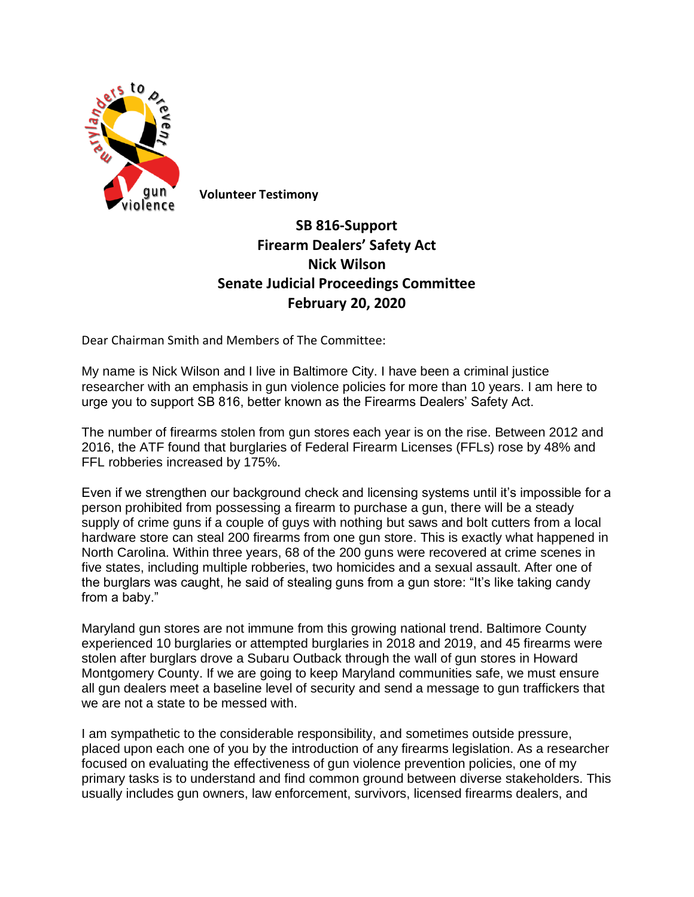

**Volunteer Testimony**

## **SB 816-Support Firearm Dealers' Safety Act Nick Wilson Senate Judicial Proceedings Committee February 20, 2020**

Dear Chairman Smith and Members of The Committee:

My name is Nick Wilson and I live in Baltimore City. I have been a criminal justice researcher with an emphasis in gun violence policies for more than 10 years. I am here to urge you to support SB 816, better known as the Firearms Dealers' Safety Act.

The number of firearms stolen from gun stores each year is on the rise. Between 2012 and 2016, the ATF found that burglaries of Federal Firearm Licenses (FFLs) rose by 48% and FFL robberies increased by 175%.

Even if we strengthen our background check and licensing systems until it's impossible for a person prohibited from possessing a firearm to purchase a gun, there will be a steady supply of crime guns if a couple of guys with nothing but saws and bolt cutters from a local hardware store can steal 200 firearms from one gun store. This is exactly what happened in North Carolina. Within three years, 68 of the 200 guns were recovered at crime scenes in five states, including multiple robberies, two homicides and a sexual assault. After one of the burglars was caught, he said of stealing guns from a gun store: "It's like taking candy from a baby."

Maryland gun stores are not immune from this growing national trend. Baltimore County experienced 10 burglaries or attempted burglaries in 2018 and 2019, and 45 firearms were stolen after burglars drove a Subaru Outback through the wall of gun stores in Howard Montgomery County. If we are going to keep Maryland communities safe, we must ensure all gun dealers meet a baseline level of security and send a message to gun traffickers that we are not a state to be messed with.

I am sympathetic to the considerable responsibility, and sometimes outside pressure, placed upon each one of you by the introduction of any firearms legislation. As a researcher focused on evaluating the effectiveness of gun violence prevention policies, one of my primary tasks is to understand and find common ground between diverse stakeholders. This usually includes gun owners, law enforcement, survivors, licensed firearms dealers, and